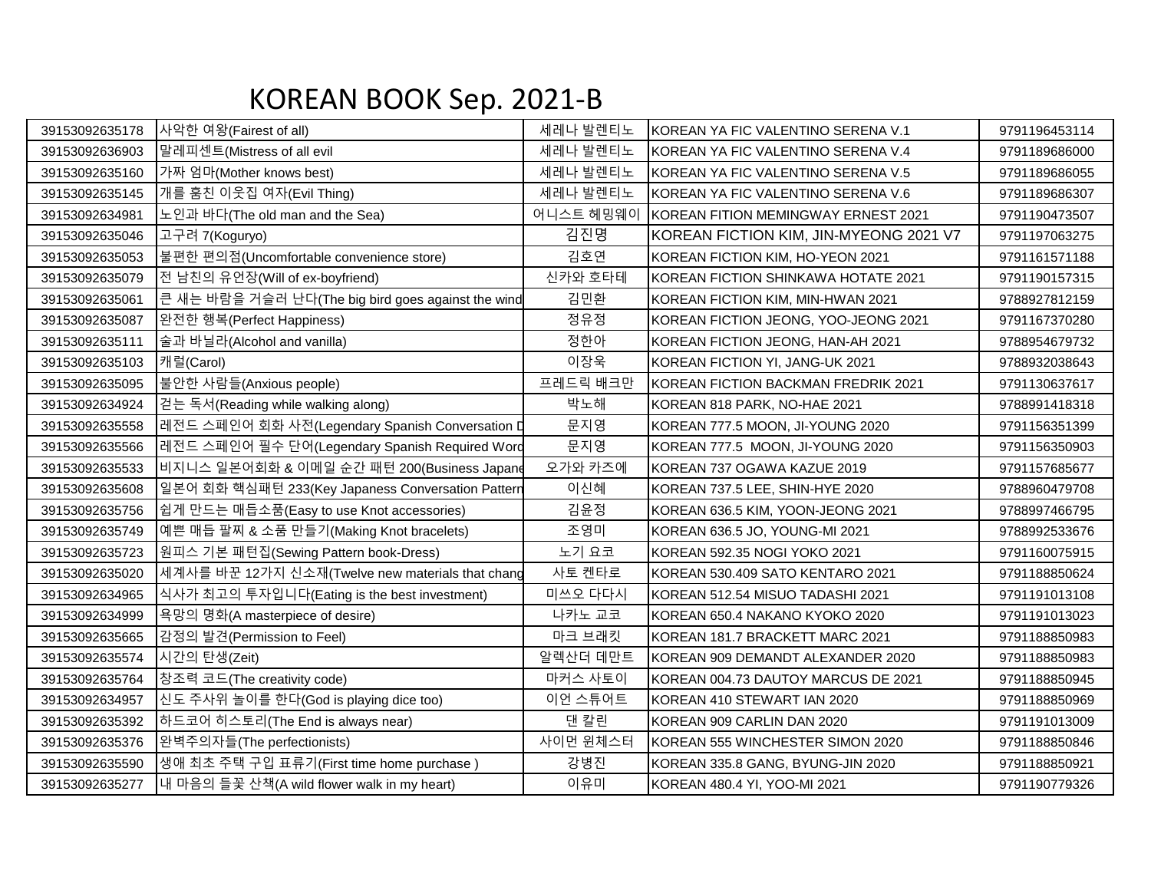## KOREAN BOOK Sep. 2021-B

| 39153092635178 | 사악한 여왕(Fairest of all)                             | 세레나 발렌티노  | KOREAN YA FIC VALENTINO SERENA V.1     | 9791196453114 |
|----------------|----------------------------------------------------|-----------|----------------------------------------|---------------|
| 39153092636903 | 말레피센트(Mistress of all evil                         | 세레나 발렌티노  | KOREAN YA FIC VALENTINO SERENA V.4     | 9791189686000 |
| 39153092635160 | 가짜 엄마(Mother knows best)                           | 세레나 발렌티노  | KOREAN YA FIC VALENTINO SERENA V.5     | 9791189686055 |
| 39153092635145 | 개를 훔친 이웃집 여자(Evil Thing)                           | 세레나 발렌티노  | KOREAN YA FIC VALENTINO SERENA V.6     | 9791189686307 |
| 39153092634981 | 노인과 바다(The old man and the Sea)                    | 어니스트 헤밍웨이 | KOREAN FITION MEMINGWAY ERNEST 2021    | 9791190473507 |
| 39153092635046 | 고구려 7(Koguryo)                                     | 김진명       | KOREAN FICTION KIM, JIN-MYEONG 2021 V7 | 9791197063275 |
| 39153092635053 | 불편한 편의점(Uncomfortable convenience store)           | 김호연       | KOREAN FICTION KIM, HO-YEON 2021       | 9791161571188 |
| 39153092635079 | 전 남친의 유언장(Will of ex-boyfriend)                    | 신카와 호타테   | KOREAN FICTION SHINKAWA HOTATE 2021    | 9791190157315 |
| 39153092635061 | 큰 새는 바람을 거슬러 난다(The big bird goes against the wind | 김민환       | KOREAN FICTION KIM, MIN-HWAN 2021      | 9788927812159 |
| 39153092635087 | 완전한 행복(Perfect Happiness)                          | 정유정       | KOREAN FICTION JEONG, YOO-JEONG 2021   | 9791167370280 |
| 39153092635111 | 술과 바닐라(Alcohol and vanilla)                        | 정한아       | KOREAN FICTION JEONG, HAN-AH 2021      | 9788954679732 |
| 39153092635103 | 캐럴(Carol)                                          | 이장욱       | KOREAN FICTION YI, JANG-UK 2021        | 9788932038643 |
| 39153092635095 | 불안한 사람들(Anxious people)                            | 프레드릭 배크만  | KOREAN FICTION BACKMAN FREDRIK 2021    | 9791130637617 |
| 39153092634924 | 걷는 독서(Reading while walking along)                 | 박노해       | KOREAN 818 PARK, NO-HAE 2021           | 9788991418318 |
| 39153092635558 | 레전드 스페인어 회화 사전(Legendary Spanish Conversation D    | 문지영       | KOREAN 777.5 MOON, JI-YOUNG 2020       | 9791156351399 |
| 39153092635566 | 레전드 스페인어 필수 단어(Legendary Spanish Required Word     | 문지영       | KOREAN 777.5 MOON, JI-YOUNG 2020       | 9791156350903 |
| 39153092635533 | 비지니스 일본어회화 & 이메일 순간 패턴 200(Business Japane         | 오가와 카즈에   | KOREAN 737 OGAWA KAZUE 2019            | 9791157685677 |
| 39153092635608 | 일본어 회화 핵심패턴 233(Key Japaness Conversation Pattern  | 이신혜       | KOREAN 737.5 LEE, SHIN-HYE 2020        | 9788960479708 |
| 39153092635756 | 쉽게 만드는 매듭소품(Easy to use Knot accessories)          | 김윤정       | KOREAN 636.5 KIM, YOON-JEONG 2021      | 9788997466795 |
| 39153092635749 | 예쁜 매듭 팔찌 & 소품 만들기(Making Knot bracelets)           | 조영미       | KOREAN 636.5 JO, YOUNG-MI 2021         | 9788992533676 |
| 39153092635723 | 원피스 기본 패턴집(Sewing Pattern book-Dress)              | 노기 요코     | KOREAN 592.35 NOGI YOKO 2021           | 9791160075915 |
| 39153092635020 | 세계사를 바꾼 12가지 신소재(Twelve new materials that chang   | 사토 켄타로    | KOREAN 530.409 SATO KENTARO 2021       | 9791188850624 |
| 39153092634965 | 식사가 최고의 투자입니다(Eating is the best investment)       | 미쓰오 다다시   | KOREAN 512.54 MISUO TADASHI 2021       | 9791191013108 |
| 39153092634999 | 욕망의 명화(A masterpiece of desire)                    | 나카노 교코    | KOREAN 650.4 NAKANO KYOKO 2020         | 9791191013023 |
| 39153092635665 | 감정의 발견(Permission to Feel)                         | 마크 브래킷    | KOREAN 181.7 BRACKETT MARC 2021        | 9791188850983 |
| 39153092635574 | 시간의 탄생(Zeit)                                       | 알렉산더 데만트  | KOREAN 909 DEMANDT ALEXANDER 2020      | 9791188850983 |
| 39153092635764 | 창조력 코드(The creativity code)                        | 마커스 사토이   | KOREAN 004.73 DAUTOY MARCUS DE 2021    | 9791188850945 |
| 39153092634957 | 신도 주사위 놀이를 한다(God is playing dice too)             | 이언 스튜어트   | KOREAN 410 STEWART IAN 2020            | 9791188850969 |
| 39153092635392 | 하드코어 히스토리(The End is always near)                  | 댄 칼린      | KOREAN 909 CARLIN DAN 2020             | 9791191013009 |
| 39153092635376 | 완벽주의자들(The perfectionists)                         | 사이먼 윈체스터  | KOREAN 555 WINCHESTER SIMON 2020       | 9791188850846 |
| 39153092635590 | 생애 최초 주택 구입 표류기(First time home purchase)          | 강병진       | KOREAN 335.8 GANG, BYUNG-JIN 2020      | 9791188850921 |
| 39153092635277 | 내 마음의 들꽃 산책(A wild flower walk in my heart)        | 이유미       | KOREAN 480.4 YI, YOO-MI 2021           | 9791190779326 |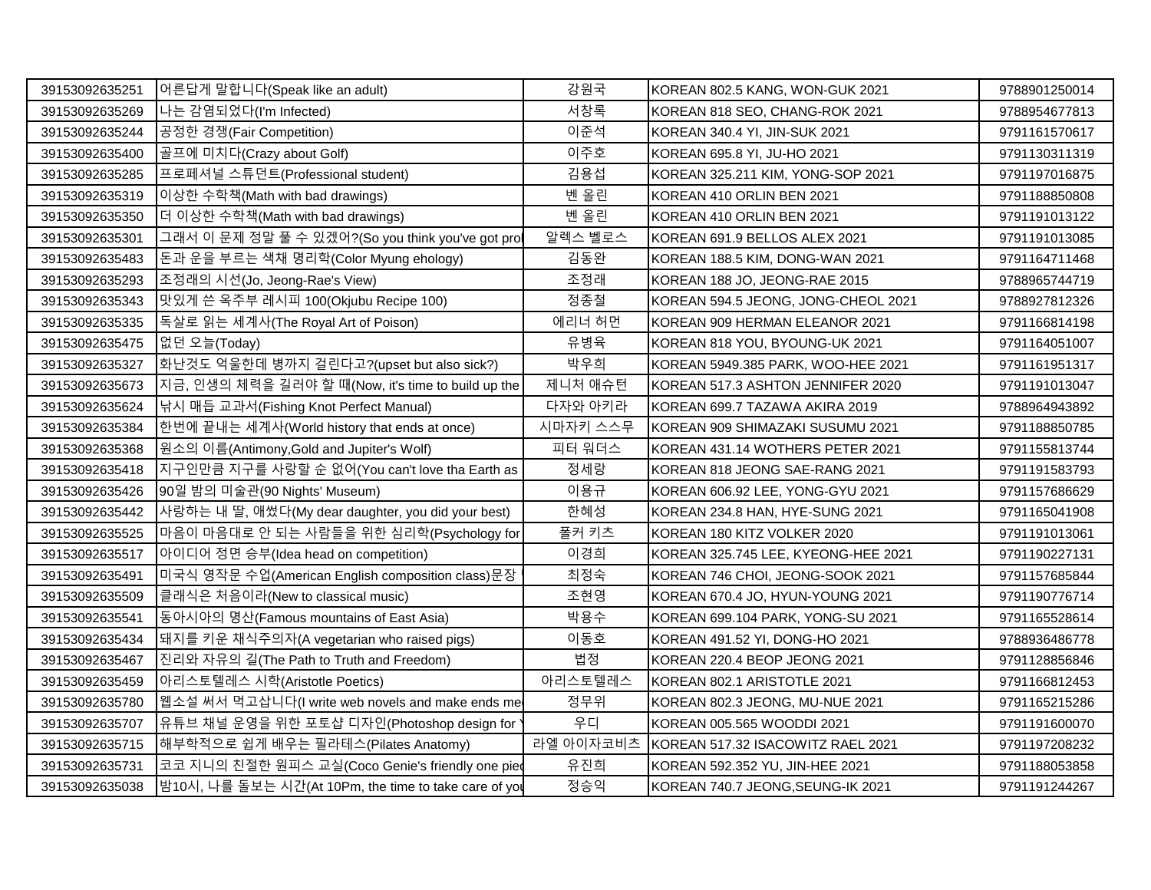| 39153092635251 | 어른답게 말합니다(Speak like an adult)                        | 강원국       | KOREAN 802.5 KANG, WON-GUK 2021     | 9788901250014 |
|----------------|-------------------------------------------------------|-----------|-------------------------------------|---------------|
| 39153092635269 | 나는 감염되었다(I'm Infected)                                | 서창록       | KOREAN 818 SEO, CHANG-ROK 2021      | 9788954677813 |
| 39153092635244 | 공정한 경쟁(Fair Competition)                              | 이준석       | KOREAN 340.4 YI, JIN-SUK 2021       | 9791161570617 |
| 39153092635400 | 골프에 미치다(Crazy about Golf)                             | 이주호       | KOREAN 695.8 YI, JU-HO 2021         | 9791130311319 |
| 39153092635285 | 프로페셔널 스튜던트(Professional student)                      | 김용섭       | KOREAN 325.211 KIM, YONG-SOP 2021   | 9791197016875 |
| 39153092635319 | 이상한 수학책(Math with bad drawings)                       | 벤 올린      | KOREAN 410 ORLIN BEN 2021           | 9791188850808 |
| 39153092635350 | 더 이상한 수학책(Math with bad drawings)                     | 벤 올린      | KOREAN 410 ORLIN BEN 2021           | 9791191013122 |
| 39153092635301 | 그래서 이 문제 정말 풀 수 있겠어?(So you think you've got prol     | 알렉스 벨로스   | KOREAN 691.9 BELLOS ALEX 2021       | 9791191013085 |
| 39153092635483 | 돈과 운을 부르는 색채 명리학(Color Myung ehology)                 | 김동완       | KOREAN 188.5 KIM, DONG-WAN 2021     | 9791164711468 |
| 39153092635293 | 조정래의 시선(Jo, Jeong-Rae's View)                         | 조정래       | KOREAN 188 JO, JEONG-RAE 2015       | 9788965744719 |
| 39153092635343 | 맛있게 쓴 옥주부 레시피 100(Okjubu Recipe 100)                  | 정종철       | KOREAN 594.5 JEONG, JONG-CHEOL 2021 | 9788927812326 |
| 39153092635335 | 독살로 읽는 세계사(The Royal Art of Poison)                   | 에리너 허먼    | KOREAN 909 HERMAN ELEANOR 2021      | 9791166814198 |
| 39153092635475 | 없던 오늘(Today)                                          | 유병육       | KOREAN 818 YOU, BYOUNG-UK 2021      | 9791164051007 |
| 39153092635327 | 화난것도 억울한데 병까지 걸린다고?(upset but also sick?)             | 박우희       | KOREAN 5949.385 PARK, WOO-HEE 2021  | 9791161951317 |
| 39153092635673 | 지금, 인생의 체력을 길러야 할 때(Now, it's time to build up the    | 제니처 애슈턴   | KOREAN 517.3 ASHTON JENNIFER 2020   | 9791191013047 |
| 39153092635624 | 낚시 매듭 교과서(Fishing Knot Perfect Manual)                | 다자와 아키라   | KOREAN 699.7 TAZAWA AKIRA 2019      | 9788964943892 |
| 39153092635384 | 한번에 끝내는 세계사(World history that ends at once)          | 시마자키 스스무  | KOREAN 909 SHIMAZAKI SUSUMU 2021    | 9791188850785 |
| 39153092635368 | 원소의 이름(Antimony, Gold and Jupiter's Wolf)             | 피터 워더스    | KOREAN 431.14 WOTHERS PETER 2021    | 9791155813744 |
| 39153092635418 | 지구인만큼 지구를 사랑할 순 없어(You can't love tha Earth as        | 정세랑       | KOREAN 818 JEONG SAE-RANG 2021      | 9791191583793 |
| 39153092635426 | 90일 밤의 미술관(90 Nights' Museum)                         | 이용규       | KOREAN 606.92 LEE, YONG-GYU 2021    | 9791157686629 |
| 39153092635442 | 사랑하는 내 딸, 애썼다(My dear daughter, you did your best)    | 한혜성       | KOREAN 234.8 HAN, HYE-SUNG 2021     | 9791165041908 |
| 39153092635525 | 마음이 마음대로 안 되는 사람들을 위한 심리학(Psychology for              | 폴커 키츠     | KOREAN 180 KITZ VOLKER 2020         | 9791191013061 |
| 39153092635517 | 아이디어 정면 승부(Idea head on competition)                  | 이경희       | KOREAN 325.745 LEE, KYEONG-HEE 2021 | 9791190227131 |
| 39153092635491 | 미국식 영작문 수업(American English composition class)문장      | 최정숙       | KOREAN 746 CHOI, JEONG-SOOK 2021    | 9791157685844 |
| 39153092635509 | 클래식은 처음이라(New to classical music)                     | 조현영       | KOREAN 670.4 JO, HYUN-YOUNG 2021    | 9791190776714 |
| 39153092635541 | 동아시아의 명산(Famous mountains of East Asia)               | 박용수       | KOREAN 699.104 PARK, YONG-SU 2021   | 9791165528614 |
| 39153092635434 | 돼지를 키운 채식주의자(A vegetarian who raised pigs)            | 이동호       | KOREAN 491.52 YI, DONG-HO 2021      | 9788936486778 |
| 39153092635467 | 진리와 자유의 길(The Path to Truth and Freedom)              | 법정        | KOREAN 220.4 BEOP JEONG 2021        | 9791128856846 |
| 39153092635459 | 아리스토텔레스 시학(Aristotle Poetics)                         | 아리스토텔레스   | KOREAN 802.1 ARISTOTLE 2021         | 9791166812453 |
| 39153092635780 | 웹소설 써서 먹고삽니다(I write web novels and make ends me      | 정무위       | KOREAN 802.3 JEONG, MU-NUE 2021     | 9791165215286 |
| 39153092635707 | 유튜브 채널 운영을 위한 포토샵 디자인(Photoshop design for            | 우디        | KOREAN 005.565 WOODDI 2021          | 9791191600070 |
| 39153092635715 | 해부학적으로 쉽게 배우는 필라테스(Pilates Anatomy)                   | 라엘 아이자코비츠 | KOREAN 517.32 ISACOWITZ RAEL 2021   | 9791197208232 |
| 39153092635731 | 코코 지니의 친절한 원피스 교실(Coco Genie's friendly one pied      | 유진희       | KOREAN 592.352 YU, JIN-HEE 2021     | 9791188053858 |
| 39153092635038 | 밤10시, 나를 돌보는 시간(At 10Pm, the time to take care of you | 정승익       | KOREAN 740.7 JEONG, SEUNG-IK 2021   | 9791191244267 |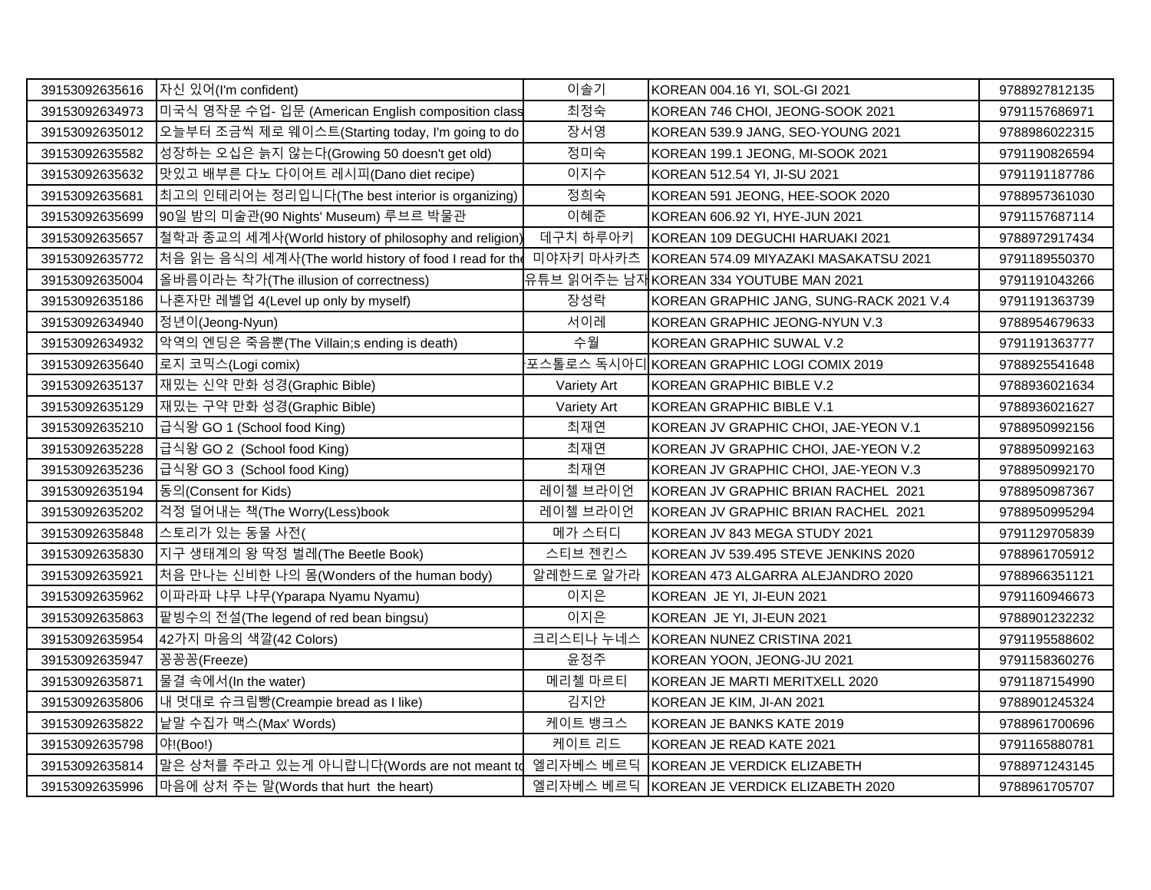| 39153092635616 | 자신 있어(I'm confident)                                   | 이솔기         | KOREAN 004.16 YI, SOL-GI 2021              | 9788927812135 |
|----------------|--------------------------------------------------------|-------------|--------------------------------------------|---------------|
| 39153092634973 | 미국식 영작문 수업- 입문 (American English composition class     | 최정숙         | KOREAN 746 CHOI, JEONG-SOOK 2021           | 9791157686971 |
| 39153092635012 | 오늘부터 조금씩 제로 웨이스트(Starting today, I'm going to do       | 장서영         | KOREAN 539.9 JANG, SEO-YOUNG 2021          | 9788986022315 |
| 39153092635582 | 성장하는 오십은 늙지 않는다(Growing 50 doesn't get old)            | 정미숙         | KOREAN 199.1 JEONG, MI-SOOK 2021           | 9791190826594 |
| 39153092635632 | 맛있고 배부른 다노 다이어트 레시피(Dano diet recipe)                  | 이지수         | KOREAN 512.54 YI, JI-SU 2021               | 9791191187786 |
| 39153092635681 | 최고의 인테리어는 정리입니다(The best interior is organizing)       | 정희숙         | KOREAN 591 JEONG, HEE-SOOK 2020            | 9788957361030 |
| 39153092635699 | 90일 밤의 미술관(90 Nights' Museum) 루브르 박물관                  | 이혜준         | KOREAN 606.92 YI, HYE-JUN 2021             | 9791157687114 |
| 39153092635657 | 철학과 종교의 세계사(World history of philosophy and religion)  | 데구치 하루아키    | KOREAN 109 DEGUCHI HARUAKI 2021            | 9788972917434 |
| 39153092635772 | 처음 읽는 음식의 세계사(The world history of food I read for the | 미야자키 마사카츠   | KOREAN 574.09 MIYAZAKI MASAKATSU 2021      | 9791189550370 |
| 39153092635004 | 올바름이라는 착가(The illusion of correctness)                 |             | 유튜브 읽어주는 남재KOREAN 334 YOUTUBE MAN 2021     | 9791191043266 |
| 39153092635186 | 나혼자만 레벨업 4(Level up only by myself)                    | 장성락         | KOREAN GRAPHIC JANG, SUNG-RACK 2021 V.4    | 9791191363739 |
| 39153092634940 | 정년이(Jeong-Nyun)                                        | 서이레         | KOREAN GRAPHIC JEONG-NYUN V.3              | 9788954679633 |
| 39153092634932 | 악역의 엔딩은 죽음뿐(The Villain;s ending is death)             | 수월          | KOREAN GRAPHIC SUWAL V.2                   | 9791191363777 |
| 39153092635640 | 로지 코믹스(Logi comix)                                     |             | 포스톨로스 독시아디KOREAN GRAPHIC LOGI COMIX 2019   | 9788925541648 |
| 39153092635137 | 재밌는 신약 만화 성경(Graphic Bible)                            | Variety Art | KOREAN GRAPHIC BIBLE V.2                   | 9788936021634 |
| 39153092635129 | 재밌는 구약 만화 성경(Graphic Bible)                            | Variety Art | KOREAN GRAPHIC BIBLE V.1                   | 9788936021627 |
| 39153092635210 | 급식왕 GO 1 (School food King)                            | 최재연         | KOREAN JV GRAPHIC CHOI, JAE-YEON V.1       | 9788950992156 |
| 39153092635228 | 급식왕 GO 2 (School food King)                            | 최재연         | KOREAN JV GRAPHIC CHOI, JAE-YEON V.2       | 9788950992163 |
| 39153092635236 | 급식왕 GO 3 (School food King)                            | 최재연         | KOREAN JV GRAPHIC CHOI, JAE-YEON V.3       | 9788950992170 |
| 39153092635194 | 동의(Consent for Kids)                                   | 레이첼 브라이언    | KOREAN JV GRAPHIC BRIAN RACHEL 2021        | 9788950987367 |
| 39153092635202 | 걱정 덜어내는 책(The Worry(Less)book                          | 레이첼 브라이언    | KOREAN JV GRAPHIC BRIAN RACHEL 2021        | 9788950995294 |
| 39153092635848 | 스토리가 있는 동물 사전(                                         | 메가 스터디      | KOREAN JV 843 MEGA STUDY 2021              | 9791129705839 |
| 39153092635830 | 지구 생태계의 왕 딱정 벌레(The Beetle Book)                       | 스티브 젠킨스     | KOREAN JV 539.495 STEVE JENKINS 2020       | 9788961705912 |
| 39153092635921 | 처음 만나는 신비한 나의 몸(Wonders of the human body)             | 알레한드로 알가라   | KOREAN 473 ALGARRA ALEJANDRO 2020          | 9788966351121 |
| 39153092635962 | 이파라파 냐무 냐무(Yparapa Nyamu Nyamu)                        | 이지은         | KOREAN JE YI, JI-EUN 2021                  | 9791160946673 |
| 39153092635863 | 팥빙수의 전설(The legend of red bean bingsu)                 | 이지은         | KOREAN JE YI, JI-EUN 2021                  | 9788901232232 |
| 39153092635954 | 42가지 마음의 색깔(42 Colors)                                 | 크리스티나 누네스   | KOREAN NUNEZ CRISTINA 2021                 | 9791195588602 |
| 39153092635947 | 공꽁꽁(Freeze)                                            | 윤정주         | KOREAN YOON, JEONG-JU 2021                 | 9791158360276 |
| 39153092635871 | 물결 속에서(In the water)                                   | 메리첼 마르티     | KOREAN JE MARTI MERITXELL 2020             | 9791187154990 |
| 39153092635806 | 내 멋대로 슈크림빵(Creampie bread as I like)                   | 김지안         | KOREAN JE KIM, JI-AN 2021                  | 9788901245324 |
| 39153092635822 | 낱말 수집가 맥스(Max' Words)                                  | 케이트 뱅크스     | KOREAN JE BANKS KATE 2019                  | 9788961700696 |
| 39153092635798 | 야!(Boo!)                                               | 케이트 리드      | KOREAN JE READ KATE 2021                   | 9791165880781 |
| 39153092635814 | 말은 상처를 주라고 있는게 아니랍니다(Words are not meant to            | 엘리자베스 베르딕   | KOREAN JE VERDICK ELIZABETH                | 9788971243145 |
| 39153092635996 | 마음에 상처 주는 말(Words that hurt the heart)                 |             | 엘리자베스 베르딕 KOREAN JE VERDICK ELIZABETH 2020 | 9788961705707 |